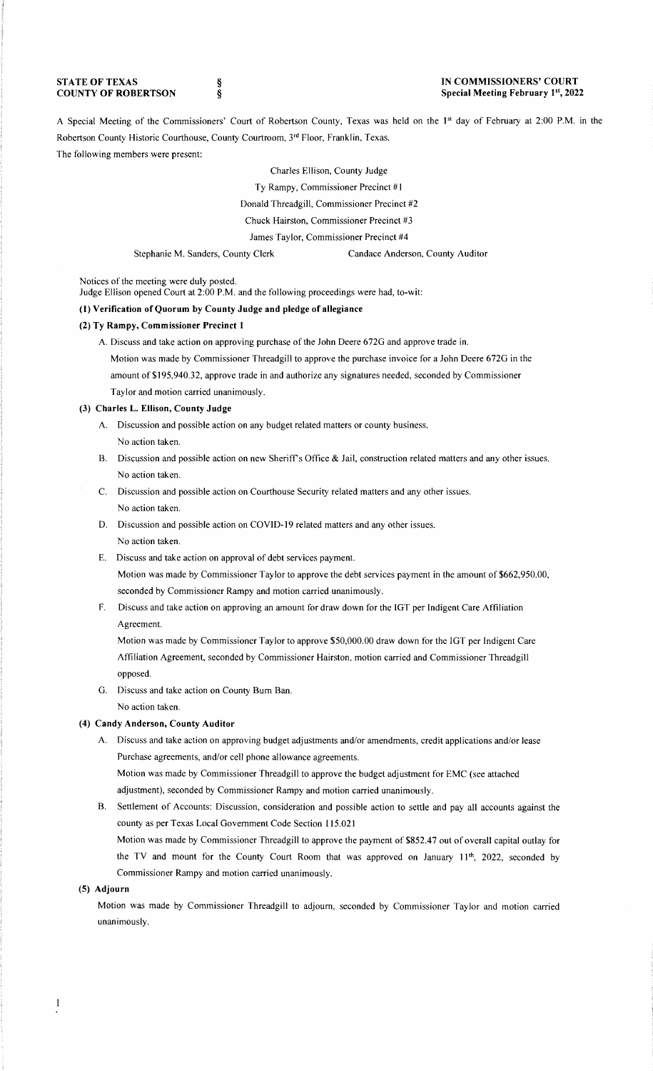**STATE OF TEXAS COUNTY OF ROBERTSON**  § §

#### **IN COMMISSIONERS' COURT Special Meeting February 1st, 2022**

A Special Meeting of the Commissioners' Court of Robertson County, Texas was held on the 1<sup>st</sup> day of February at 2:00 P.M. in the Robertson County Historic Courthouse, County Courtroom, 3'd Floor, Franklin, Texas. The following members were present:

> Charles Ellison, County Judge Ty Rampy, Commissioner Precinct #1 Donald Threadgill, Commissioner Precinct #2 Chuck Hairston, Commissioner Precinct #3 James Taylor, Commissioner Precinct #4

Stephanie M. Sanders, County Clerk Candace Anderson, County Auditor

Notices of the meeting were duly posted.

Judge Ellison opened Court at 2:00 P.M. and the following proceedings were had, to-wit:

## (I) **Verification of Quorum by County Judge and pledge of allegiance**

### **(2) Ty Rampy, Commissioner Precinct 1**

A. Discuss and take action on approving purchase of the John Deere 672G and approve trade in. Motion was made by Commissioner Threadgill to approve the purchase invoice for a John Deere 672G in the amount of \$195,940.32, approve trade in and authorize any signatures needed, seconded by Commissioner Taylor and motion carried unanimously.

#### **(3) Charles L. Ellison, County Judge**

- A. Discussion and possible action on any budget related matters or county business. No action taken.
- B. Discussion and possible action on new Sheriff's Office & Jail, construction related matters and any other issues. No action taken.
- C. Discussion and possible action on Courthouse Security related matters and any other issues. No action taken.
- D. Discussion and possible action on COVID-19 related matters and any other issues. No action taken.
- E. Discuss and take action on approval of debt services payment.

Motion was made by Commissioner Taylor to approve the debt services payment in the amount of \$662,950.00, seconded by Commissioner Rampy and motion carried unanimously.

F. Discuss and take action on approving an amount for draw down for the !GT per Indigent Care Affiliation Agreement.

Motion was made by Commissioner Taylor to approve \$50,000.00 draw down for the !GT per Indigent Care Affiliation Agreement, seconded by Commissioner Hairston, motion carried and Commissioner Threadgill opposed.

G. Discuss and take action on County Bum Ban.

No action taken.

## **(4) Candy Anderson, County Auditor**

A. Discuss and take action on approving budget adjustments and/or amendments, credit applications and/or lease Purchase agreements, and/or cell phone allowance agreements.

Motion was made by Commissioner Threadgill to approve the budget adjustment for EMC (see attached adjustment), seconded by Commissioner Rampy and motion carried unanimously.

B. Settlement of Accounts: Discussion, consideration and possible action to settle and pay all accounts against the county as per Texas Local Government Code Section 115.021

Motion was made by Commissioner Threadgill to approve the payment of \$852.47 out of overall capital outlay for the TV and mount for the County Court Room that was approved on January 11<sup>th</sup>, 2022, seconded by Commissioner Rampy and motion carried unanimously.

# **(5) Adjourn**

Motion was made by Commissioner Threadgill to adjourn, seconded by Commissioner Taylor and motion carried unanimously.